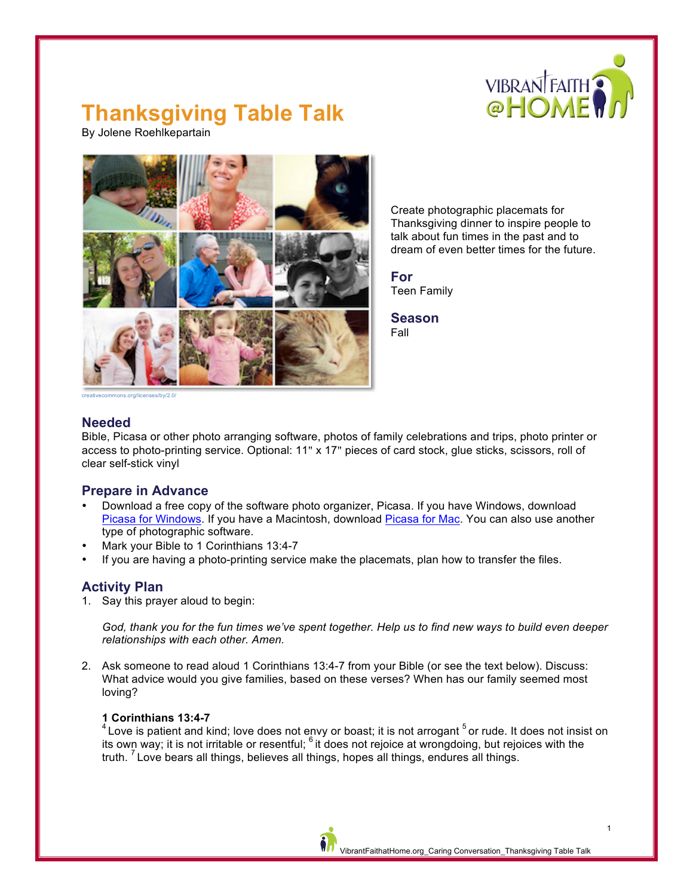

# **Thanksgiving Table Talk**

By Jolene Roehlkepartain



Create photographic placemats for Thanksgiving dinner to inspire people to talk about fun times in the past and to dream of even better times for the future.

**For** Teen Family

**Season** Fall

creativecommons.org/licenses/by/2.0/

### **Needed**

Bible, Picasa or other photo arranging software, photos of family celebrations and trips, photo printer or access to photo-printing service. Optional: 11" x 17" pieces of card stock, glue sticks, scissors, roll of clear self-stick vinyl

### **Prepare in Advance**

- Download a free copy of the software photo organizer, Picasa. If you have Windows, download [Picasa for Windows](http://picasa.en.softonic.com/). If you have a Macintosh, download Picasa [for Mac.](http://picasa-mac.en.softonic.com/mac) You can also use another type of photographic software.
- Mark your Bible to 1 Corinthians 13:4-7
- If you are having a photo-printing service make the placemats, plan how to transfer the files.

## **Activity Plan**

1. Say this prayer aloud to begin:

*God, thank you for the fun times we've spent together. Help us to find new ways to build even deeper relationships with each other. Amen.*

2. Ask someone to read aloud 1 Corinthians 13:4-7 from your Bible (or see the text below). Discuss: What advice would you give families, based on these verses? When has our family seemed most loving?

#### **1 Corinthians 13:4-7**

 $^4$  Love is patient and kind; love does not envy or boast; it is not arrogant  $^5$  or rude. It does not insist on its own way; it is not irritable or resentful; <sup>6</sup> it does not rejoice at wrongdoing, but rejoices with the truth.  $<sup>7</sup>$  Love bears all things, believes all things, hopes all things, endures all things.</sup>